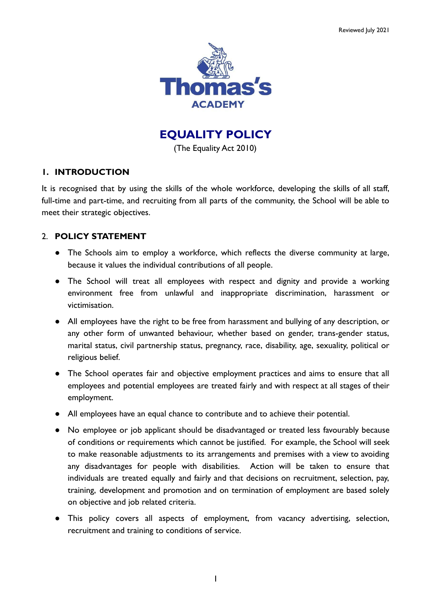

**EQUALITY POLICY**

(The Equality Act 2010)

## **1. INTRODUCTION**

It is recognised that by using the skills of the whole workforce, developing the skills of all staff, full-time and part-time, and recruiting from all parts of the community, the School will be able to meet their strategic objectives.

# 2. **POLICY STATEMENT**

- The Schools aim to employ a workforce, which reflects the diverse community at large, because it values the individual contributions of all people.
- The School will treat all employees with respect and dignity and provide a working environment free from unlawful and inappropriate discrimination, harassment or victimisation.
- All employees have the right to be free from harassment and bullying of any description, or any other form of unwanted behaviour, whether based on gender, trans-gender status, marital status, civil partnership status, pregnancy, race, disability, age, sexuality, political or religious belief.
- The School operates fair and objective employment practices and aims to ensure that all employees and potential employees are treated fairly and with respect at all stages of their employment.
- All employees have an equal chance to contribute and to achieve their potential.
- No employee or job applicant should be disadvantaged or treated less favourably because of conditions or requirements which cannot be justified. For example, the School will seek to make reasonable adjustments to its arrangements and premises with a view to avoiding any disadvantages for people with disabilities. Action will be taken to ensure that individuals are treated equally and fairly and that decisions on recruitment, selection, pay, training, development and promotion and on termination of employment are based solely on objective and job related criteria.
- This policy covers all aspects of employment, from vacancy advertising, selection, recruitment and training to conditions of service.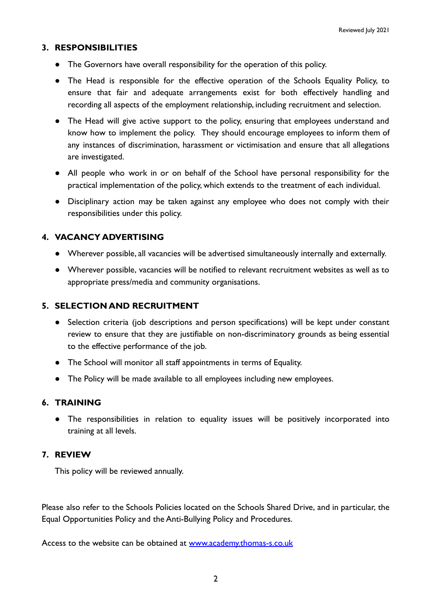### **3. RESPONSIBILITIES**

- The Governors have overall responsibility for the operation of this policy.
- The Head is responsible for the effective operation of the Schools Equality Policy, to ensure that fair and adequate arrangements exist for both effectively handling and recording all aspects of the employment relationship, including recruitment and selection.
- The Head will give active support to the policy, ensuring that employees understand and know how to implement the policy. They should encourage employees to inform them of any instances of discrimination, harassment or victimisation and ensure that all allegations are investigated.
- All people who work in or on behalf of the School have personal responsibility for the practical implementation of the policy, which extends to the treatment of each individual.
- Disciplinary action may be taken against any employee who does not comply with their responsibilities under this policy.

### **4. VACANCY ADVERTISING**

- Wherever possible, all vacancies will be advertised simultaneously internally and externally.
- Wherever possible, vacancies will be notified to relevant recruitment websites as well as to appropriate press/media and community organisations.

#### **5. SELECTION AND RECRUITMENT**

- Selection criteria (job descriptions and person specifications) will be kept under constant review to ensure that they are justifiable on non-discriminatory grounds as being essential to the effective performance of the job.
- The School will monitor all staff appointments in terms of Equality.
- The Policy will be made available to all employees including new employees.

### **6. TRAINING**

● The responsibilities in relation to equality issues will be positively incorporated into training at all levels.

#### **7. REVIEW**

This policy will be reviewed annually.

Please also refer to the Schools Policies located on the Schools Shared Drive, and in particular, the Equal Opportunities Policy and the Anti-Bullying Policy and Procedures.

Access to the website can be obtained at [www.academy.thomas-s.co.uk](http://www.academy.thomas-s.co.uk)